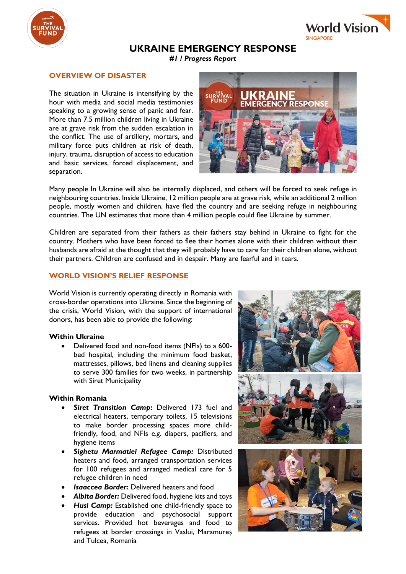



# **UKRAINE EMERGENCY RESPONSE**

*#1 / Progress Report*

## **OVERVIEW OF DISASTER**

The situation in Ukraine is intensifying by the hour with media and social media testimonies speaking to a growing sense of panic and fear. More than 7.5 million children living in Ukraine are at grave risk from the sudden escalation in the conflict. The use of artillery, mortars, and military force puts children at risk of death, injury, trauma, disruption of access to education and basic services, forced displacement, and separation.



Many people In Ukraine will also be internally displaced, and others will be forced to seek refuge in neighbouring countries. Inside Ukraine, 12 million people are at grave risk, while an additional 2 million people, mostly women and children, have fled the country and are seeking refuge in neighbouring countries. The UN estimates that more than 4 million people could flee Ukraine by summer.

Children are separated from their fathers as their fathers stay behind in Ukraine to fight for the country. Mothers who have been forced to flee their homes alone with their children without their husbands are afraid at the thought that they will probably have to care for their children alone, without their partners. Children are confused and in despair. Many are fearful and in tears.

### **WORLD VISION'S RELIEF RESPONSE**

World Vision is currently operating directly in Romania with cross-border operations into Ukraine. Since the beginning of the crisis, World Vision, with the support of international donors, has been able to provide the following:

#### **Within Ukraine**

• Delivered food and non-food items (NFIs) to a 600 bed hospital, including the minimum food basket, mattresses, pillows, bed linens and cleaning supplies to serve 300 families for two weeks, in partnership with Siret Municipality

#### **Within Romania**

- Siret Transition Camp: Delivered 173 fuel and electrical heaters, temporary toilets, 15 televisions to make border processing spaces more childfriendly, food, and NFIs e.g. diapers, pacifiers, and hygiene items
- *Sighetu Marmatiei Refugee Camp:* Distributed heaters and food, arranged transportation services for 100 refugees and arranged medical care for 5 refugee children in need
- *Isaaccea Border:* Delivered heaters and food
- *Albita Border:* Delivered food, hygiene kits and toys
- *Husi Camp:* Established one child-friendly space to provide education and psychosocial support services. Provided hot beverages and food to refugees at border crossings in Vaslui, Maramureș and Tulcea, Romania